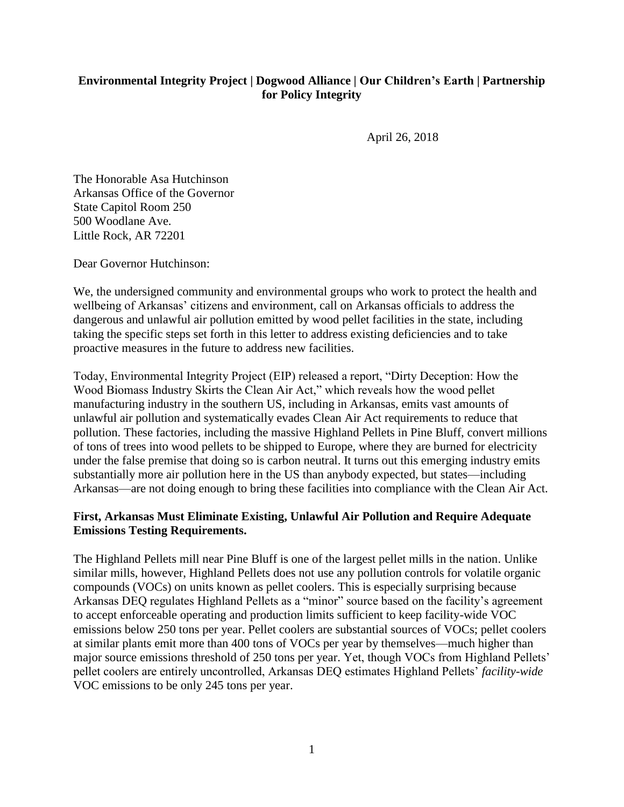## **Environmental Integrity Project | Dogwood Alliance | Our Children's Earth | Partnership for Policy Integrity**

April 26, 2018

The Honorable Asa Hutchinson Arkansas Office of the Governor State Capitol Room 250 500 Woodlane Ave. Little Rock, AR 72201

Dear Governor Hutchinson:

We, the undersigned community and environmental groups who work to protect the health and wellbeing of Arkansas' citizens and environment, call on Arkansas officials to address the dangerous and unlawful air pollution emitted by wood pellet facilities in the state, including taking the specific steps set forth in this letter to address existing deficiencies and to take proactive measures in the future to address new facilities.

Today, Environmental Integrity Project (EIP) released a report, "Dirty Deception: How the Wood Biomass Industry Skirts the Clean Air Act," which reveals how the wood pellet manufacturing industry in the southern US, including in Arkansas, emits vast amounts of unlawful air pollution and systematically evades Clean Air Act requirements to reduce that pollution. These factories, including the massive Highland Pellets in Pine Bluff, convert millions of tons of trees into wood pellets to be shipped to Europe, where they are burned for electricity under the false premise that doing so is carbon neutral. It turns out this emerging industry emits substantially more air pollution here in the US than anybody expected, but states—including Arkansas—are not doing enough to bring these facilities into compliance with the Clean Air Act.

## **First, Arkansas Must Eliminate Existing, Unlawful Air Pollution and Require Adequate Emissions Testing Requirements.**

The Highland Pellets mill near Pine Bluff is one of the largest pellet mills in the nation. Unlike similar mills, however, Highland Pellets does not use any pollution controls for volatile organic compounds (VOCs) on units known as pellet coolers. This is especially surprising because Arkansas DEQ regulates Highland Pellets as a "minor" source based on the facility's agreement to accept enforceable operating and production limits sufficient to keep facility-wide VOC emissions below 250 tons per year. Pellet coolers are substantial sources of VOCs; pellet coolers at similar plants emit more than 400 tons of VOCs per year by themselves—much higher than major source emissions threshold of 250 tons per year. Yet, though VOCs from Highland Pellets' pellet coolers are entirely uncontrolled, Arkansas DEQ estimates Highland Pellets' *facility-wide* VOC emissions to be only 245 tons per year.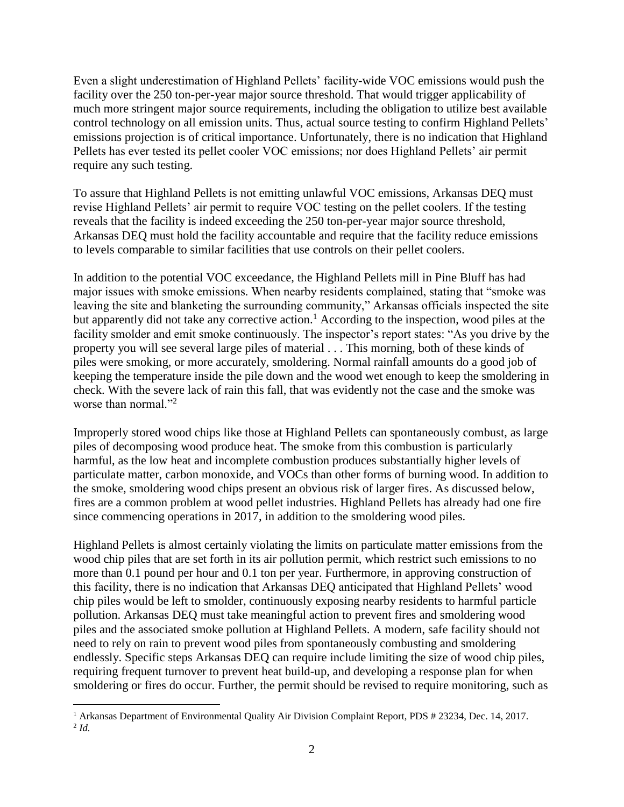Even a slight underestimation of Highland Pellets' facility-wide VOC emissions would push the facility over the 250 ton-per-year major source threshold. That would trigger applicability of much more stringent major source requirements, including the obligation to utilize best available control technology on all emission units. Thus, actual source testing to confirm Highland Pellets' emissions projection is of critical importance. Unfortunately, there is no indication that Highland Pellets has ever tested its pellet cooler VOC emissions; nor does Highland Pellets' air permit require any such testing.

To assure that Highland Pellets is not emitting unlawful VOC emissions, Arkansas DEQ must revise Highland Pellets' air permit to require VOC testing on the pellet coolers. If the testing reveals that the facility is indeed exceeding the 250 ton-per-year major source threshold, Arkansas DEQ must hold the facility accountable and require that the facility reduce emissions to levels comparable to similar facilities that use controls on their pellet coolers.

In addition to the potential VOC exceedance, the Highland Pellets mill in Pine Bluff has had major issues with smoke emissions. When nearby residents complained, stating that "smoke was leaving the site and blanketing the surrounding community," Arkansas officials inspected the site but apparently did not take any corrective action.<sup>1</sup> According to the inspection, wood piles at the facility smolder and emit smoke continuously. The inspector's report states: "As you drive by the property you will see several large piles of material . . . This morning, both of these kinds of piles were smoking, or more accurately, smoldering. Normal rainfall amounts do a good job of keeping the temperature inside the pile down and the wood wet enough to keep the smoldering in check. With the severe lack of rain this fall, that was evidently not the case and the smoke was worse than normal."<sup>2</sup>

Improperly stored wood chips like those at Highland Pellets can spontaneously combust, as large piles of decomposing wood produce heat. The smoke from this combustion is particularly harmful, as the low heat and incomplete combustion produces substantially higher levels of particulate matter, carbon monoxide, and VOCs than other forms of burning wood. In addition to the smoke, smoldering wood chips present an obvious risk of larger fires. As discussed below, fires are a common problem at wood pellet industries. Highland Pellets has already had one fire since commencing operations in 2017, in addition to the smoldering wood piles.

Highland Pellets is almost certainly violating the limits on particulate matter emissions from the wood chip piles that are set forth in its air pollution permit, which restrict such emissions to no more than 0.1 pound per hour and 0.1 ton per year. Furthermore, in approving construction of this facility, there is no indication that Arkansas DEQ anticipated that Highland Pellets' wood chip piles would be left to smolder, continuously exposing nearby residents to harmful particle pollution. Arkansas DEQ must take meaningful action to prevent fires and smoldering wood piles and the associated smoke pollution at Highland Pellets. A modern, safe facility should not need to rely on rain to prevent wood piles from spontaneously combusting and smoldering endlessly. Specific steps Arkansas DEQ can require include limiting the size of wood chip piles, requiring frequent turnover to prevent heat build-up, and developing a response plan for when smoldering or fires do occur. Further, the permit should be revised to require monitoring, such as

 $\overline{a}$ 

<sup>&</sup>lt;sup>1</sup> Arkansas Department of Environmental Quality Air Division Complaint Report, PDS # 23234, Dec. 14, 2017. 2 *Id.*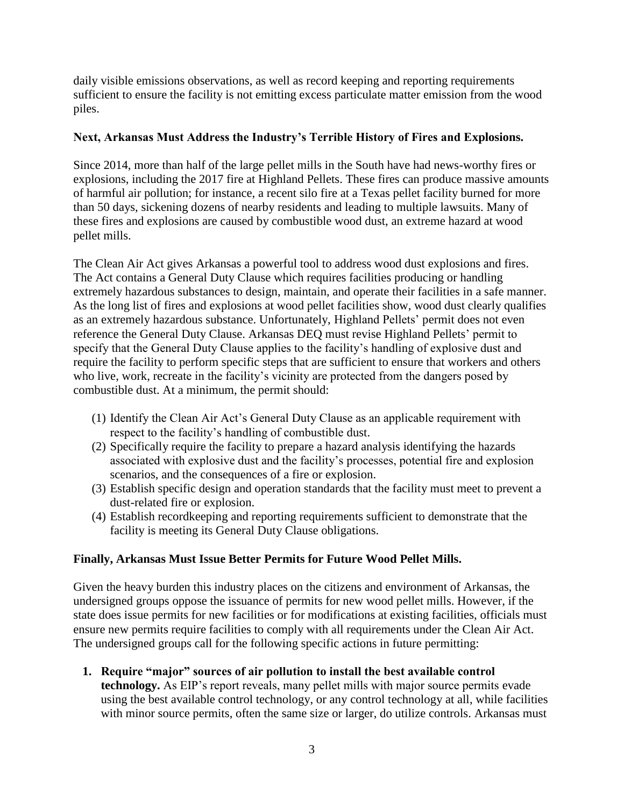daily visible emissions observations, as well as record keeping and reporting requirements sufficient to ensure the facility is not emitting excess particulate matter emission from the wood piles.

## **Next, Arkansas Must Address the Industry's Terrible History of Fires and Explosions.**

Since 2014, more than half of the large pellet mills in the South have had news-worthy fires or explosions, including the 2017 fire at Highland Pellets. These fires can produce massive amounts of harmful air pollution; for instance, a recent silo fire at a Texas pellet facility burned for more than 50 days, sickening dozens of nearby residents and leading to multiple lawsuits. Many of these fires and explosions are caused by combustible wood dust, an extreme hazard at wood pellet mills.

The Clean Air Act gives Arkansas a powerful tool to address wood dust explosions and fires. The Act contains a General Duty Clause which requires facilities producing or handling extremely hazardous substances to design, maintain, and operate their facilities in a safe manner. As the long list of fires and explosions at wood pellet facilities show, wood dust clearly qualifies as an extremely hazardous substance. Unfortunately, Highland Pellets' permit does not even reference the General Duty Clause. Arkansas DEQ must revise Highland Pellets' permit to specify that the General Duty Clause applies to the facility's handling of explosive dust and require the facility to perform specific steps that are sufficient to ensure that workers and others who live, work, recreate in the facility's vicinity are protected from the dangers posed by combustible dust. At a minimum, the permit should:

- (1) Identify the Clean Air Act's General Duty Clause as an applicable requirement with respect to the facility's handling of combustible dust.
- (2) Specifically require the facility to prepare a hazard analysis identifying the hazards associated with explosive dust and the facility's processes, potential fire and explosion scenarios, and the consequences of a fire or explosion.
- (3) Establish specific design and operation standards that the facility must meet to prevent a dust-related fire or explosion.
- (4) Establish recordkeeping and reporting requirements sufficient to demonstrate that the facility is meeting its General Duty Clause obligations.

## **Finally, Arkansas Must Issue Better Permits for Future Wood Pellet Mills.**

Given the heavy burden this industry places on the citizens and environment of Arkansas, the undersigned groups oppose the issuance of permits for new wood pellet mills. However, if the state does issue permits for new facilities or for modifications at existing facilities, officials must ensure new permits require facilities to comply with all requirements under the Clean Air Act. The undersigned groups call for the following specific actions in future permitting:

**1. Require "major" sources of air pollution to install the best available control** 

**technology.** As EIP's report reveals, many pellet mills with major source permits evade using the best available control technology, or any control technology at all, while facilities with minor source permits, often the same size or larger, do utilize controls. Arkansas must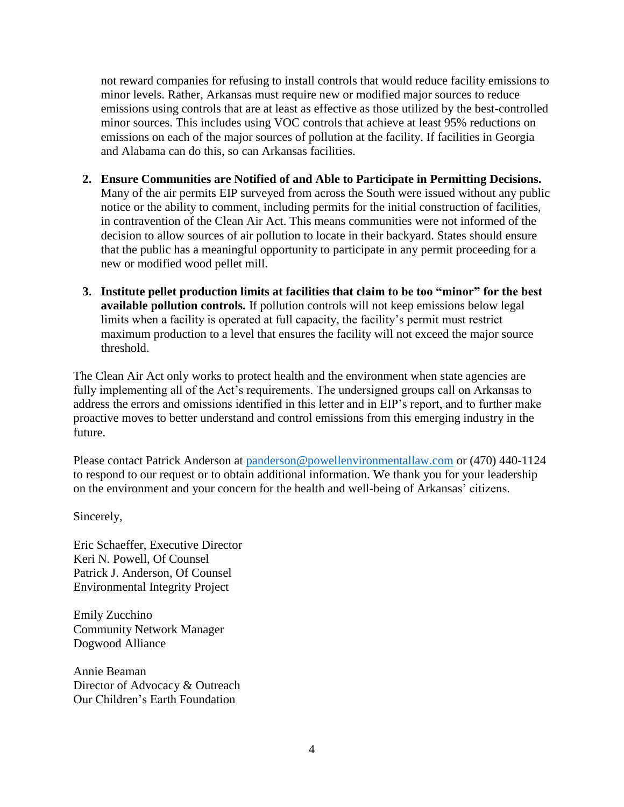not reward companies for refusing to install controls that would reduce facility emissions to minor levels. Rather, Arkansas must require new or modified major sources to reduce emissions using controls that are at least as effective as those utilized by the best-controlled minor sources. This includes using VOC controls that achieve at least 95% reductions on emissions on each of the major sources of pollution at the facility. If facilities in Georgia and Alabama can do this, so can Arkansas facilities.

- **2. Ensure Communities are Notified of and Able to Participate in Permitting Decisions.**  Many of the air permits EIP surveyed from across the South were issued without any public notice or the ability to comment, including permits for the initial construction of facilities, in contravention of the Clean Air Act. This means communities were not informed of the decision to allow sources of air pollution to locate in their backyard. States should ensure that the public has a meaningful opportunity to participate in any permit proceeding for a new or modified wood pellet mill.
- **3. Institute pellet production limits at facilities that claim to be too "minor" for the best available pollution controls.** If pollution controls will not keep emissions below legal limits when a facility is operated at full capacity, the facility's permit must restrict maximum production to a level that ensures the facility will not exceed the major source threshold.

The Clean Air Act only works to protect health and the environment when state agencies are fully implementing all of the Act's requirements. The undersigned groups call on Arkansas to address the errors and omissions identified in this letter and in EIP's report, and to further make proactive moves to better understand and control emissions from this emerging industry in the future.

Please contact Patrick Anderson at [panderson@powellenvironmentallaw.com](mailto:panderson@powellenvironmentallaw.com) or (470) 440-1124 to respond to our request or to obtain additional information. We thank you for your leadership on the environment and your concern for the health and well-being of Arkansas' citizens.

Sincerely,

Eric Schaeffer, Executive Director Keri N. Powell, Of Counsel Patrick J. Anderson, Of Counsel Environmental Integrity Project

Emily Zucchino Community Network Manager Dogwood Alliance

Annie Beaman Director of Advocacy & Outreach Our Children's Earth Foundation